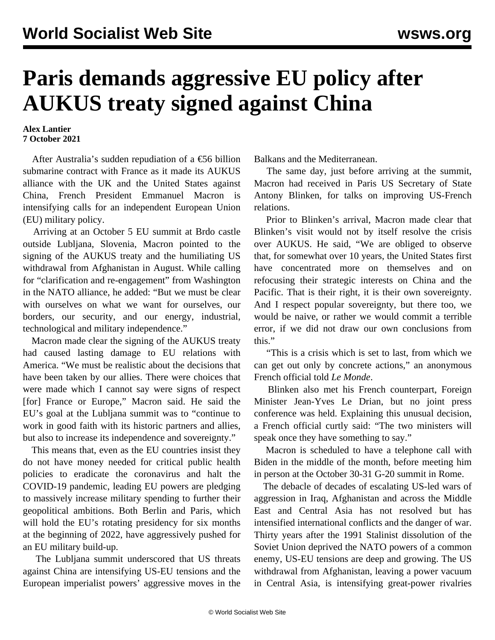## **Paris demands aggressive EU policy after AUKUS treaty signed against China**

## **Alex Lantier 7 October 2021**

 After Australia's sudden repudiation of a €56 billion submarine contract with France as it made its AUKUS alliance with the UK and the United States against China, French President Emmanuel Macron is intensifying calls for an independent European Union (EU) military policy.

 Arriving at an October 5 EU summit at Brdo castle outside Lubljana, Slovenia, Macron pointed to the signing of the AUKUS treaty and the humiliating US withdrawal from Afghanistan in August. While calling for "clarification and re-engagement" from Washington in the NATO alliance, he added: "But we must be clear with ourselves on what we want for ourselves, our borders, our security, and our energy, industrial, technological and military independence."

 Macron made clear the signing of the AUKUS treaty had caused lasting damage to EU relations with America. "We must be realistic about the decisions that have been taken by our allies. There were choices that were made which I cannot say were signs of respect [for] France or Europe," Macron said. He said the EU's goal at the Lubljana summit was to "continue to work in good faith with its historic partners and allies, but also to increase its independence and sovereignty."

 This means that, even as the EU countries insist they do not have money needed for critical public health policies to eradicate the coronavirus and halt the COVID-19 pandemic, leading EU powers are pledging to massively increase military spending to further their geopolitical ambitions. Both Berlin and Paris, which will hold the EU's rotating presidency for six months at the beginning of 2022, have aggressively pushed for an EU military build-up.

 The Lubljana summit underscored that US threats against China are intensifying US-EU tensions and the European imperialist powers' aggressive moves in the Balkans and the Mediterranean.

 The same day, just before arriving at the summit, Macron had received in Paris US Secretary of State Antony Blinken, for talks on improving US-French relations.

 Prior to Blinken's arrival, Macron made clear that Blinken's visit would not by itself resolve the crisis over AUKUS. He said, "We are obliged to observe that, for somewhat over 10 years, the United States first have concentrated more on themselves and on refocusing their strategic interests on China and the Pacific. That is their right, it is their own sovereignty. And I respect popular sovereignty, but there too, we would be naive, or rather we would commit a terrible error, if we did not draw our own conclusions from this."

 "This is a crisis which is set to last, from which we can get out only by concrete actions," an anonymous French official told *Le Monde*.

 Blinken also met his French counterpart, Foreign Minister Jean-Yves Le Drian, but no joint press conference was held. Explaining this unusual decision, a French official curtly said: "The two ministers will speak once they have something to say."

 Macron is scheduled to have a telephone call with Biden in the middle of the month, before meeting him in person at the October 30-31 G-20 summit in Rome.

 The debacle of decades of escalating US-led wars of aggression in Iraq, Afghanistan and across the Middle East and Central Asia has not resolved but has intensified international conflicts and the danger of war. Thirty years after the 1991 Stalinist dissolution of the Soviet Union deprived the NATO powers of a common enemy, US-EU tensions are deep and growing. The US withdrawal from Afghanistan, leaving a power vacuum in Central Asia, is intensifying great-power rivalries